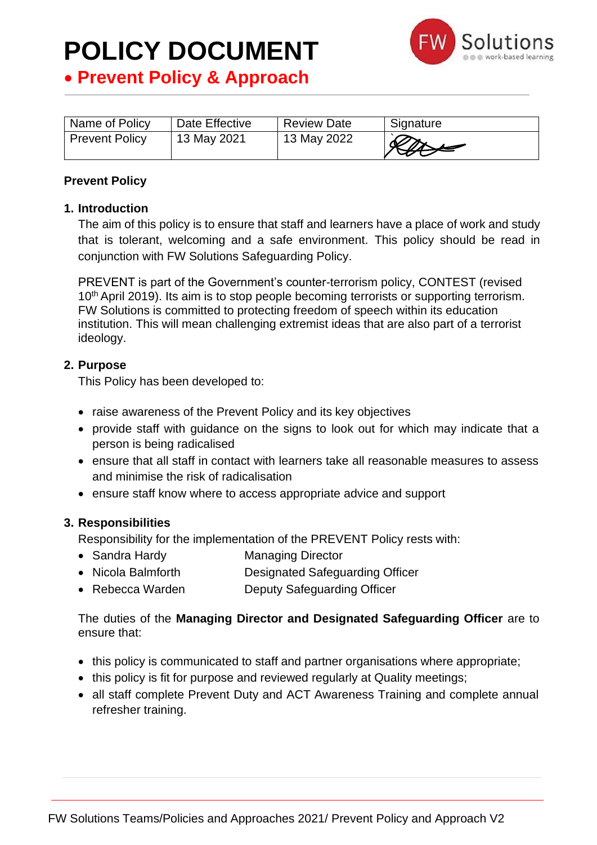

# • **Prevent Policy & Approach**

| Name of Policy        | Date Effective | <b>Review Date</b> | Signature |
|-----------------------|----------------|--------------------|-----------|
| <b>Prevent Policy</b> | 13 May 2021    | 13 May 2022        | Rave      |

## **Prevent Policy**

# **1. Introduction**

The aim of this policy is to ensure that staff and learners have a place of work and study that is tolerant, welcoming and a safe environment. This policy should be read in conjunction with FW Solutions Safeguarding Policy.

PREVENT is part of the Government's counter-terrorism policy, CONTEST (revised 10<sup>th</sup> April 2019). Its aim is to stop people becoming terrorists or supporting terrorism. FW Solutions is committed to protecting freedom of speech within its education institution. This will mean challenging extremist ideas that are also part of a terrorist ideology.

## **2. Purpose**

This Policy has been developed to:

- raise awareness of the Prevent Policy and its key objectives
- provide staff with guidance on the signs to look out for which may indicate that a person is being radicalised
- ensure that all staff in contact with learners take all reasonable measures to assess and minimise the risk of radicalisation
- ensure staff know where to access appropriate advice and support

### **3. Responsibilities**

Responsibility for the implementation of the PREVENT Policy rests with:

- Sandra Hardy Managing Director
- Nicola Balmforth Designated Safeguarding Officer
- Rebecca Warden Deputy Safeguarding Officer

The duties of the **Managing Director and Designated Safeguarding Officer** are to ensure that:

- this policy is communicated to staff and partner organisations where appropriate;
- this policy is fit for purpose and reviewed regularly at Quality meetings;
- all staff complete Prevent Duty and ACT Awareness Training and complete annual refresher training.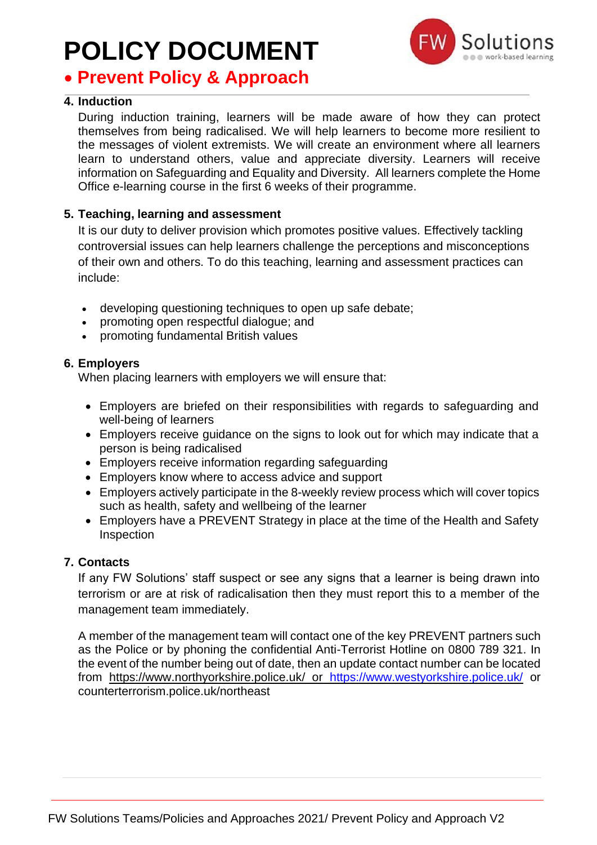# • **Prevent Policy & Approach**

# **4. Induction**

During induction training, learners will be made aware of how they can protect themselves from being radicalised. We will help learners to become more resilient to the messages of violent extremists. We will create an environment where all learners learn to understand others, value and appreciate diversity. Learners will receive information on Safeguarding and Equality and Diversity. All learners complete the Home Office e-learning course in the first 6 weeks of their programme.

## **5. Teaching, learning and assessment**

It is our duty to deliver provision which promotes positive values. Effectively tackling controversial issues can help learners challenge the perceptions and misconceptions of their own and others. To do this teaching, learning and assessment practices can include:

- developing questioning techniques to open up safe debate;
- promoting open respectful dialogue; and
- promoting fundamental British values

## **6. Employers**

When placing learners with employers we will ensure that:

- Employers are briefed on their responsibilities with regards to safeguarding and well-being of learners
- Employers receive guidance on the signs to look out for which may indicate that a person is being radicalised
- Employers receive information regarding safeguarding
- Employers know where to access advice and support
- Employers actively participate in the 8-weekly review process which will cover topics such as health, safety and wellbeing of the learner
- Employers have a PREVENT Strategy in place at the time of the Health and Safety Inspection

# **7. Contacts**

If any FW Solutions' staff suspect or see any signs that a learner is being drawn into terrorism or are at risk of radicalisation then they must report this to a member of the management team immediately.

A member of the management team will contact one of the key PREVENT partners such as the Police or by phoning the confidential Anti-Terrorist Hotline on 0800 789 321. In the event of the number being out of date, then an update contact number can be located from <https://www.northyorkshire.police.uk/> or <https://www.westyorkshire.police.uk/> or counterterrorism.police.uk/northeast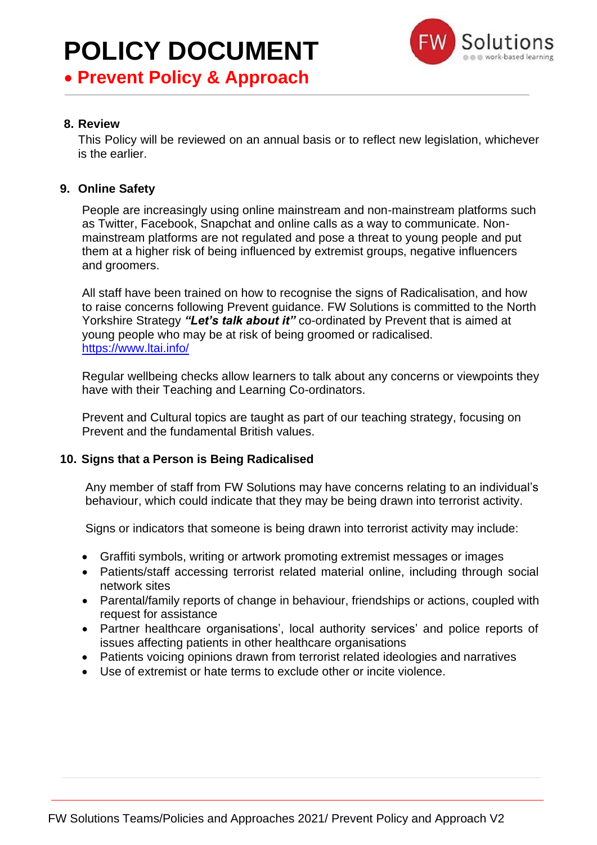# • **Prevent Policy & Approach**

# **8. Review**

This Policy will be reviewed on an annual basis or to reflect new legislation, whichever is the earlier.

# **9. Online Safety**

People are increasingly using online mainstream and non-mainstream platforms such as Twitter, Facebook, Snapchat and online calls as a way to communicate. Nonmainstream platforms are not regulated and pose a threat to young people and put them at a higher risk of being influenced by extremist groups, negative influencers and groomers.

All staff have been trained on how to recognise the signs of Radicalisation, and how to raise concerns following Prevent guidance. FW Solutions is committed to the North Yorkshire Strategy *"Let's talk about it"* co-ordinated by Prevent that is aimed at young people who may be at risk of being groomed or radicalised. <https://www.ltai.info/>

Regular wellbeing checks allow learners to talk about any concerns or viewpoints they have with their Teaching and Learning Co-ordinators.

Prevent and Cultural topics are taught as part of our teaching strategy, focusing on Prevent and the fundamental British values.

# **10. Signs that a Person is Being Radicalised**

Any member of staff from FW Solutions may have concerns relating to an individual's behaviour, which could indicate that they may be being drawn into terrorist activity.

Signs or indicators that someone is being drawn into terrorist activity may include:

- Graffiti symbols, writing or artwork promoting extremist messages or images
- Patients/staff accessing terrorist related material online, including through social network sites
- Parental/family reports of change in behaviour, friendships or actions, coupled with request for assistance
- Partner healthcare organisations', local authority services' and police reports of issues affecting patients in other healthcare organisations
- Patients voicing opinions drawn from terrorist related ideologies and narratives
- Use of extremist or hate terms to exclude other or incite violence.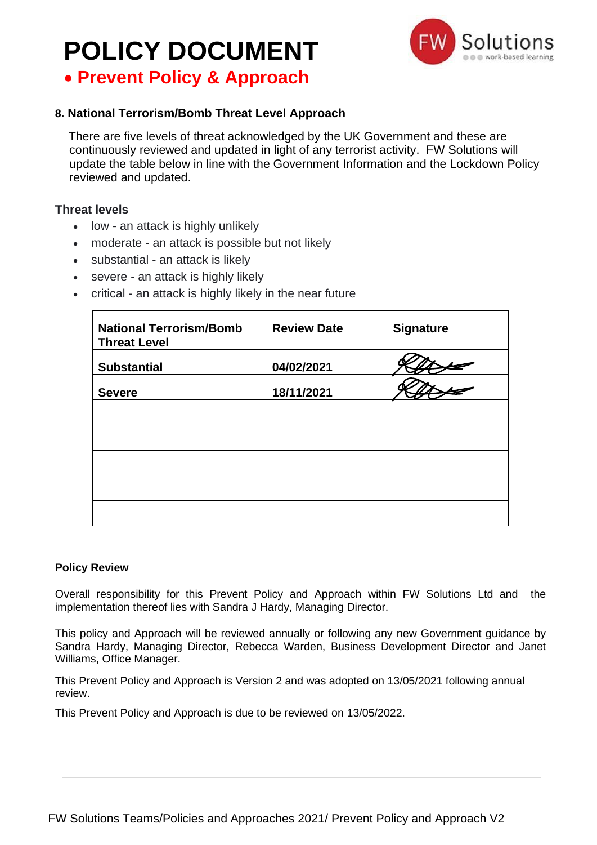• **Prevent Policy & Approach**



# **8. National Terrorism/Bomb Threat Level Approach**

 There are five levels of threat acknowledged by the UK Government and these are continuously reviewed and updated in light of any terrorist activity. FW Solutions will update the table below in line with the Government Information and the Lockdown Policy reviewed and updated.

### **Threat levels**

- low an attack is highly unlikely
- moderate an attack is possible but not likely
- substantial an attack is likely
- severe an attack is highly likely
- critical an attack is highly likely in the near future

| <b>National Terrorism/Bomb</b><br><b>Threat Level</b> | <b>Review Date</b> | <b>Signature</b> |
|-------------------------------------------------------|--------------------|------------------|
| <b>Substantial</b>                                    | 04/02/2021         |                  |
| <b>Severe</b>                                         | 18/11/2021         |                  |
|                                                       |                    |                  |
|                                                       |                    |                  |
|                                                       |                    |                  |
|                                                       |                    |                  |
|                                                       |                    |                  |

### **Policy Review**

Overall responsibility for this Prevent Policy and Approach within FW Solutions Ltd and the implementation thereof lies with Sandra J Hardy, Managing Director.

This policy and Approach will be reviewed annually or following any new Government guidance by Sandra Hardy, Managing Director, Rebecca Warden, Business Development Director and Janet Williams, Office Manager.

This Prevent Policy and Approach is Version 2 and was adopted on 13/05/2021 following annual review.

This Prevent Policy and Approach is due to be reviewed on 13/05/2022.